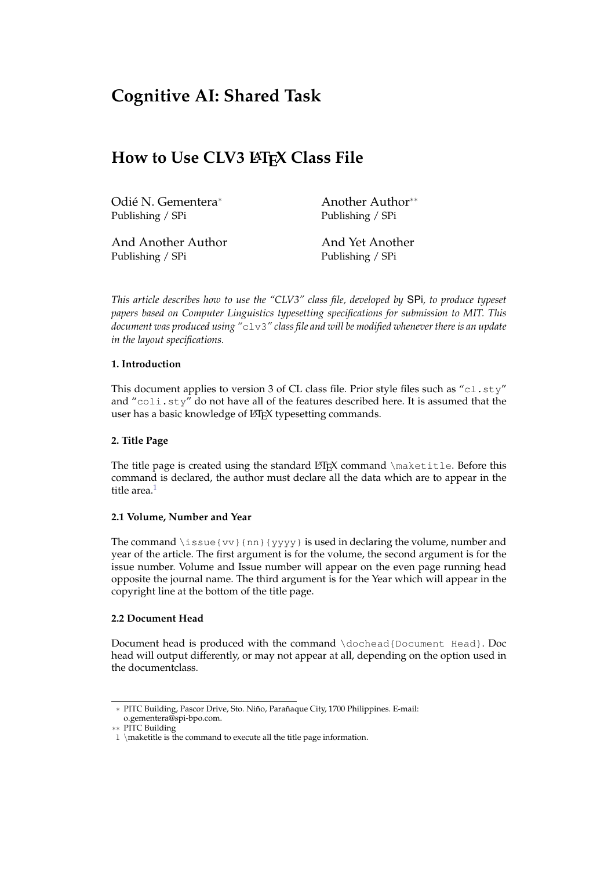# **Cognitive AI: Shared Task**

# **How to Use CLV3 LATEX Class File**

Odié N. Gementera<sup>∗</sup> Publishing / SPi

Another Author∗∗ Publishing / SPi

And Another Author Publishing / SPi

And Yet Another Publishing / SPi

*This article describes how to use the "CLV3" class file, developed by* SPi*, to produce typeset papers based on Computer Linguistics typesetting specifications for submission to MIT. This document was produced using "*clv3*" class file and will be modified whenever there is an update in the layout specifications.*

# **1. Introduction**

This document applies to version 3 of CL class file. Prior style files such as "cl.sty" and "coli.sty" do not have all of the features described here. It is assumed that the user has a basic knowledge of LAT<sub>E</sub>X typesetting commands.

# **2. Title Page**

The title page is created using the standard  $\beta$ T<sub>E</sub>X command \maketitle. Before this command is declared, the author must declare all the data which are to appear in the title area.<sup>[1](#page-0-0)</sup>

#### **2.1 Volume, Number and Year**

The command  $\iota$  issue {vv} {nn} {yyyy} is used in declaring the volume, number and year of the article. The first argument is for the volume, the second argument is for the issue number. Volume and Issue number will appear on the even page running head opposite the journal name. The third argument is for the Year which will appear in the copyright line at the bottom of the title page.

#### **2.2 Document Head**

Document head is produced with the command \dochead{Document Head}. Doc head will output differently, or may not appear at all, depending on the option used in the documentclass.

<sup>∗</sup> PITC Building, Pascor Drive, Sto. Niño, Parañaque City, 1700 Philippines. E-mail: o.gementera@spi-bpo.com.

<sup>∗∗</sup> PITC Building

<span id="page-0-0"></span><sup>1</sup> \maketitle is the command to execute all the title page information.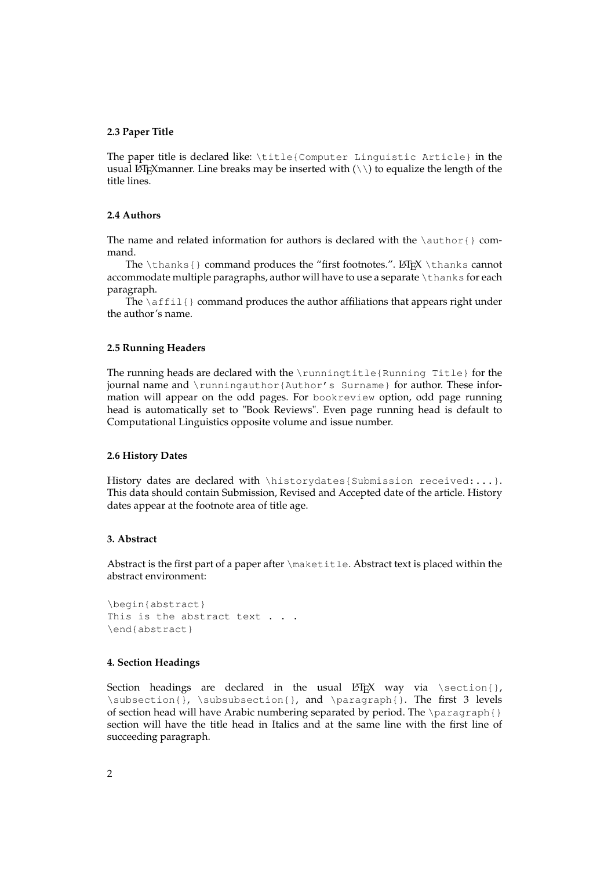#### **2.3 Paper Title**

The paper title is declared like: \title{Computer Linguistic Article} in the usual LATEX manner. Line breaks may be inserted with  $(\setminus)$  to equalize the length of the title lines.

## **2.4 Authors**

The name and related information for authors is declared with the  $\art{$  command.

The \thanks{} command produces the "first footnotes.". LATEX \thanks cannot accommodate multiple paragraphs, author will have to use a separate \thanks for each paragraph.

The  $\alpha$  fill  $\}$  command produces the author affiliations that appears right under the author's name.

# **2.5 Running Headers**

The running heads are declared with the \runningtitle{Running Title} for the journal name and \runningauthor{Author's Surname} for author. These information will appear on the odd pages. For bookreview option, odd page running head is automatically set to "Book Reviews". Even page running head is default to Computational Linguistics opposite volume and issue number.

### **2.6 History Dates**

History dates are declared with \historydates{Submission received:...}. This data should contain Submission, Revised and Accepted date of the article. History dates appear at the footnote area of title age.

### **3. Abstract**

Abstract is the first part of a paper after \maketitle. Abstract text is placed within the abstract environment:

```
\begin{abstract}
This is the abstract text . . .
\end{abstract}
```
#### **4. Section Headings**

Section headings are declared in the usual  $\mathbb{F}F[X]$  way via \section{}, \subsection{}, \subsubsection{}, and \paragraph{}. The first 3 levels of section head will have Arabic numbering separated by period. The  $\partial \Omega$ section will have the title head in Italics and at the same line with the first line of succeeding paragraph.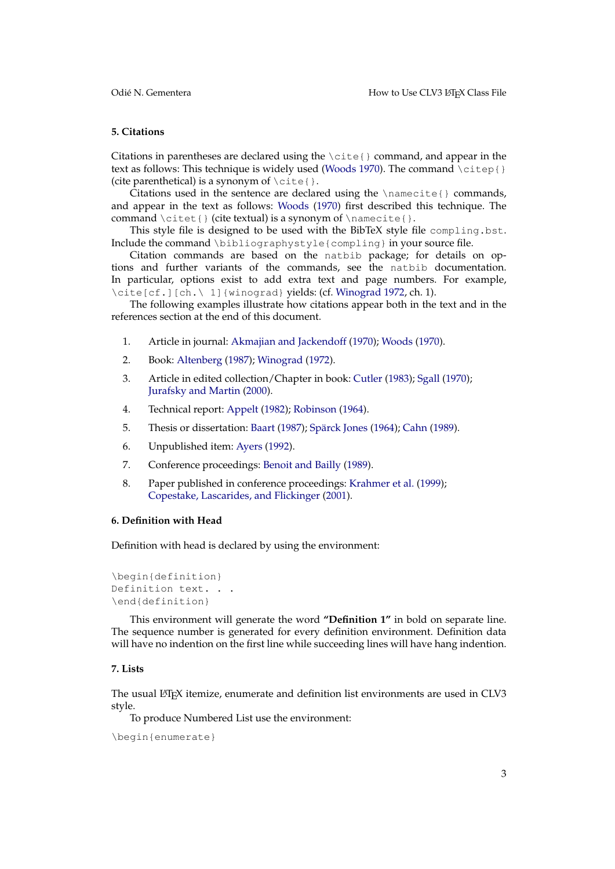## **5. Citations**

Citations in parentheses are declared using the  $\cite{}$  command, and appear in the text as follows: This technique is widely used [\(Woods](#page-7-0) [1970\)](#page-7-0). The command  $\text{citep}{}$ (cite parenthetical) is a synonym of  $\text{cite}.$ 

Citations used in the sentence are declared using the  $\name{e}$  commands, and appear in the text as follows: [Woods](#page-7-0) [\(1970\)](#page-7-0) first described this technique. The command  $\citet}$  (cite textual) is a synonym of  $\namecitet}$ .

This style file is designed to be used with the BibTeX style file compling.bst. Include the command \bibliographystyle{compling} in your source file.

Citation commands are based on the natbib package; for details on options and further variants of the commands, see the natbib documentation. In particular, options exist to add extra text and page numbers. For example, \cite[cf.][ch.\ 1]{winograd} yields: (cf. [Winograd](#page-7-1) [1972,](#page-7-1) ch. 1).

The following examples illustrate how citations appear both in the text and in the references section at the end of this document.

- 1. Article in journal: [Akmajian and Jackendoff](#page-6-0) [\(1970\)](#page-6-0); [Woods](#page-7-0) [\(1970\)](#page-7-0).
- 2. Book: [Altenberg](#page-6-1) [\(1987\)](#page-6-1); [Winograd](#page-7-1) [\(1972\)](#page-7-1).
- 3. Article in edited collection/Chapter in book: [Cutler](#page-6-2) [\(1983\)](#page-6-2); [Sgall](#page-7-2) [\(1970\)](#page-7-2); [Jurafsky and Martin](#page-7-3) [\(2000\)](#page-7-3).
- 4. Technical report: [Appelt](#page-6-3) [\(1982\)](#page-6-3); [Robinson](#page-7-4) [\(1964\)](#page-7-4).
- 5. Thesis or dissertation: [Baart](#page-6-4) [\(1987\)](#page-6-4); [Spärck Jones](#page-7-5) [\(1964\)](#page-7-5); [Cahn](#page-6-5) [\(1989\)](#page-6-5).
- 6. Unpublished item: [Ayers](#page-6-6) [\(1992\)](#page-6-6).
- 7. Conference proceedings: [Benoit and Bailly](#page-6-7) [\(1989\)](#page-6-7).
- 8. Paper published in conference proceedings: [Krahmer et al.](#page-7-6) [\(1999\)](#page-7-6); [Copestake, Lascarides, and Flickinger](#page-6-8) [\(2001\)](#page-6-8).

#### **6. Definition with Head**

Definition with head is declared by using the environment:

```
\begin{definition}
Definition text. . .
\end{definition}
```
This environment will generate the word **"Definition 1"** in bold on separate line. The sequence number is generated for every definition environment. Definition data will have no indention on the first line while succeeding lines will have hang indention.

#### **7. Lists**

The usual LATEX itemize, enumerate and definition list environments are used in CLV3 style.

To produce Numbered List use the environment:

```
\begin{enumerate}
```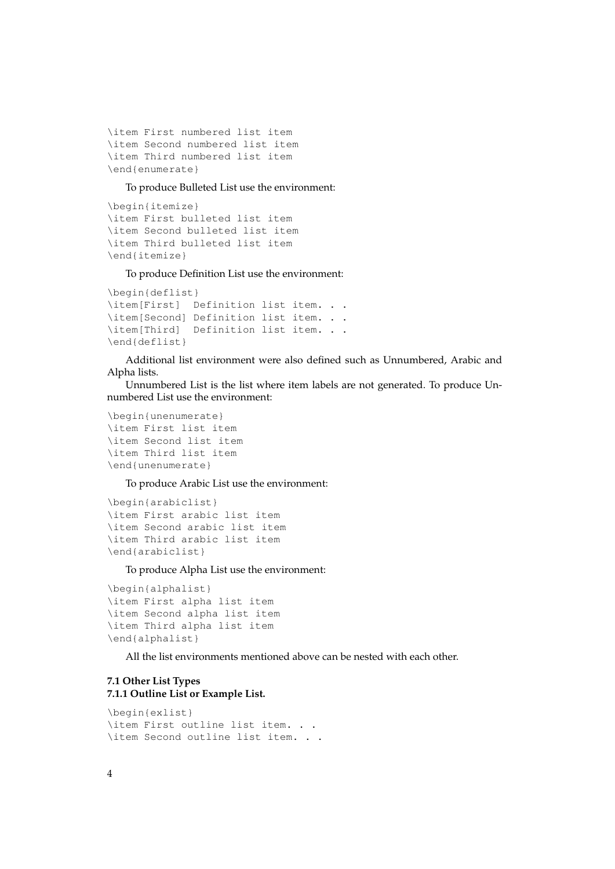```
\item First numbered list item
\item Second numbered list item
\item Third numbered list item
\end{enumerate}
```
To produce Bulleted List use the environment:

```
\begin{itemize}
\item First bulleted list item
\item Second bulleted list item
\item Third bulleted list item
\end{itemize}
```
To produce Definition List use the environment:

```
\begin{deflist}
\item[First] Definition list item. . .
\item[Second] Definition list item. . .
\item[Third] Definition list item. . .
\end{deflist}
```
Additional list environment were also defined such as Unnumbered, Arabic and Alpha lists.

Unnumbered List is the list where item labels are not generated. To produce Unnumbered List use the environment:

```
\begin{unenumerate}
\item First list item
\item Second list item
\item Third list item
\end{unenumerate}
```
To produce Arabic List use the environment:

```
\begin{arabiclist}
\item First arabic list item
\item Second arabic list item
\item Third arabic list item
\end{arabiclist}
```
To produce Alpha List use the environment:

```
\begin{alphalist}
\item First alpha list item
\item Second alpha list item
\item Third alpha list item
\end{alphalist}
```
All the list environments mentioned above can be nested with each other.

# **7.1 Other List Types 7.1.1 Outline List or Example List.**

```
\begin{exlist}
\item First outline list item. . .
\item Second outline list item. . .
```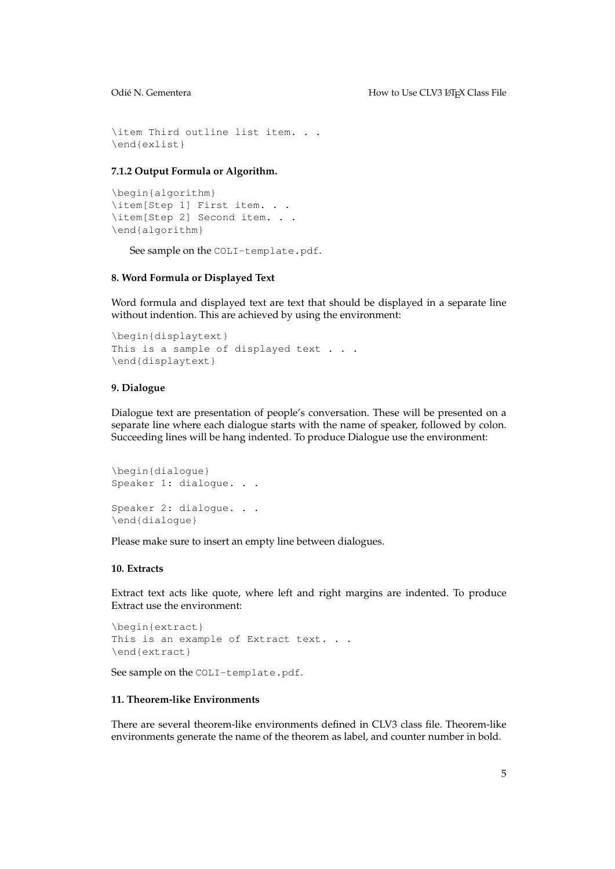\item Third outline list item. . . \end{exlist}

## **7.1.2 Output Formula or Algorithm.**

```
\begin{algorithm}
\item[Step 1] First item. . .
\item[Step 2] Second item. . .
\end{algorithm}
```
See sample on the COLI-template.pdf.

# **8. Word Formula or Displayed Text**

Word formula and displayed text are text that should be displayed in a separate line without indention. This are achieved by using the environment:

```
\begin{displaytext}
This is a sample of displayed text . . .
\end{displaytext}
```
### **9. Dialogue**

Dialogue text are presentation of people's conversation. These will be presented on a separate line where each dialogue starts with the name of speaker, followed by colon. Succeeding lines will be hang indented. To produce Dialogue use the environment:

```
\begin{dialogue}
Speaker 1: dialoque. . .
Speaker 2: dialogue. . .
\end{dialogue}
```
Please make sure to insert an empty line between dialogues.

#### **10. Extracts**

Extract text acts like quote, where left and right margins are indented. To produce Extract use the environment:

```
\begin{extract}
This is an example of Extract text. . .
\end{extract}
```
See sample on the COLI-template.pdf.

# **11. Theorem-like Environments**

There are several theorem-like environments defined in CLV3 class file. Theorem-like environments generate the name of the theorem as label, and counter number in bold.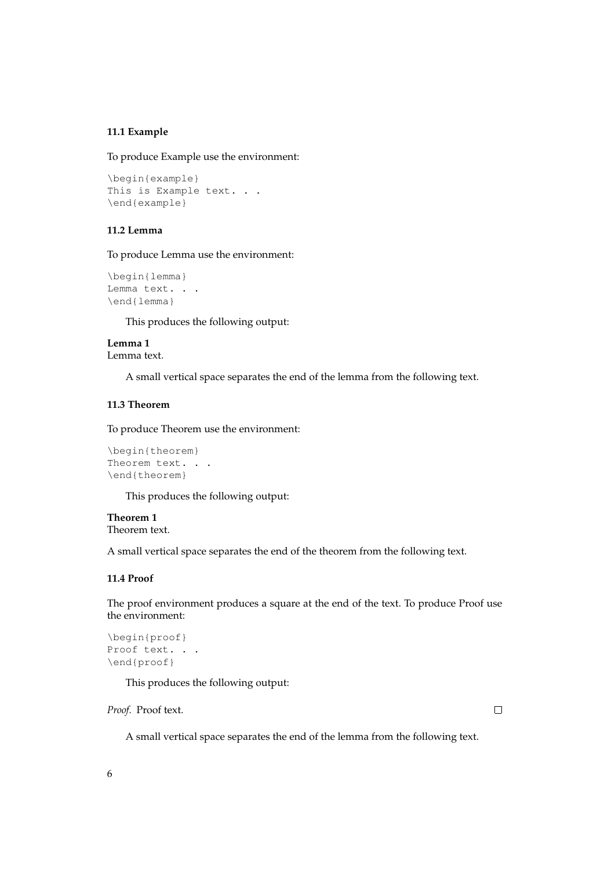# **11.1 Example**

To produce Example use the environment:

```
\begin{example}
This is Example text. . .
\end{example}
```
# **11.2 Lemma**

To produce Lemma use the environment:

```
\begin{lemma}
Lemma text. . .
\end{lemma}
```
This produces the following output:

# **Lemma 1** Lemma text.

A small vertical space separates the end of the lemma from the following text.

# **11.3 Theorem**

To produce Theorem use the environment:

```
\begin{theorem}
Theorem text. . .
\end{theorem}
```
This produces the following output:

# **Theorem 1** Theorem text.

A small vertical space separates the end of the theorem from the following text.

#### **11.4 Proof**

The proof environment produces a square at the end of the text. To produce Proof use the environment:

```
\begin{proof}
Proof text. . .
\end{proof}
```
This produces the following output:

*Proof.* Proof text.

 $\Box$ 

A small vertical space separates the end of the lemma from the following text.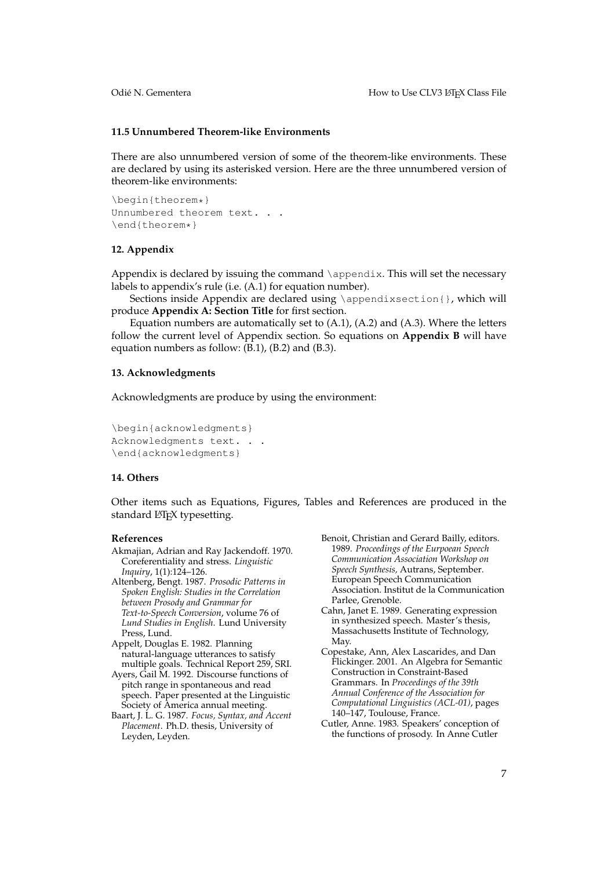#### **11.5 Unnumbered Theorem-like Environments**

There are also unnumbered version of some of the theorem-like environments. These are declared by using its asterisked version. Here are the three unnumbered version of theorem-like environments:

\begin{theorem\*} Unnumbered theorem text. . . \end{theorem\*}

#### **12. Appendix**

Appendix is declared by issuing the command  $\apaket{\ap{appendix}}$ . This will set the necessary labels to appendix's rule (i.e. (A.1) for equation number).

Sections inside Appendix are declared using \appendixsection{}, which will produce **Appendix A: Section Title** for first section.

Equation numbers are automatically set to (A.1), (A.2) and (A.3). Where the letters follow the current level of Appendix section. So equations on **Appendix B** will have equation numbers as follow: (B.1), (B.2) and (B.3).

#### **13. Acknowledgments**

Acknowledgments are produce by using the environment:

\begin{acknowledgments} Acknowledgments text. . . \end{acknowledgments}

#### **14. Others**

Other items such as Equations, Figures, Tables and References are produced in the standard L<sup>AT</sup>EX typesetting.

#### **References**

- <span id="page-6-0"></span>Akmajian, Adrian and Ray Jackendoff. 1970. Coreferentiality and stress. *Linguistic Inquiry*, 1(1):124–126.
- <span id="page-6-1"></span>Altenberg, Bengt. 1987. *Prosodic Patterns in Spoken English: Studies in the Correlation between Prosody and Grammar for Text-to-Speech Conversion*, volume 76 of *Lund Studies in English*. Lund University Press, Lund.
- <span id="page-6-3"></span>Appelt, Douglas E. 1982. Planning natural-language utterances to satisfy multiple goals. Technical Report 259, SRI.
- <span id="page-6-6"></span>Ayers, Gail M. 1992. Discourse functions of pitch range in spontaneous and read speech. Paper presented at the Linguistic Society of America annual meeting.
- <span id="page-6-4"></span>Baart, J. L. G. 1987. *Focus, Syntax, and Accent Placement*. Ph.D. thesis, University of Leyden, Leyden.
- <span id="page-6-7"></span>Benoit, Christian and Gerard Bailly, editors. 1989. *Proceedings of the Eurpoean Speech Communication Association Workshop on Speech Synthesis,* Autrans, September. European Speech Communication Association. Institut de la Communication Parlee, Grenoble.
- <span id="page-6-5"></span>Cahn, Janet E. 1989. Generating expression in synthesized speech. Master's thesis, Massachusetts Institute of Technology, May.
- <span id="page-6-8"></span>Copestake, Ann, Alex Lascarides, and Dan Flickinger. 2001. An Algebra for Semantic Construction in Constraint-Based Grammars. In *Proceedings of the 39th Annual Conference of the Association for Computational Linguistics (ACL-01)*, pages 140–147, Toulouse, France.
- <span id="page-6-2"></span>Cutler, Anne. 1983. Speakers' conception of the functions of prosody. In Anne Cutler